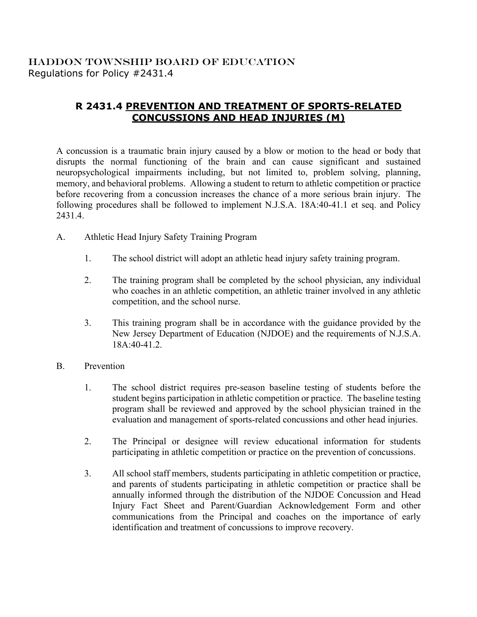## HADDON TOWNSHIP BOARD OF EDUCATION Regulations for Policy #2431.4

## **R 2431.4 PREVENTION AND TREATMENT OF SPORTS-RELATED CONCUSSIONS AND HEAD INJURIES (M)**

A concussion is a traumatic brain injury caused by a blow or motion to the head or body that disrupts the normal functioning of the brain and can cause significant and sustained neuropsychological impairments including, but not limited to, problem solving, planning, memory, and behavioral problems. Allowing a student to return to athletic competition or practice before recovering from a concussion increases the chance of a more serious brain injury. The following procedures shall be followed to implement N.J.S.A. 18A:40-41.1 et seq. and Policy 2431.4.

- A. Athletic Head Injury Safety Training Program
	- 1. The school district will adopt an athletic head injury safety training program.
	- 2. The training program shall be completed by the school physician, any individual who coaches in an athletic competition, an athletic trainer involved in any athletic competition, and the school nurse.
	- 3. This training program shall be in accordance with the guidance provided by the New Jersey Department of Education (NJDOE) and the requirements of N.J.S.A. 18A:40-41.2.
- B. Prevention
	- 1. The school district requires pre-season baseline testing of students before the student begins participation in athletic competition or practice. The baseline testing program shall be reviewed and approved by the school physician trained in the evaluation and management of sports-related concussions and other head injuries.
	- 2. The Principal or designee will review educational information for students participating in athletic competition or practice on the prevention of concussions.
	- 3. All school staff members, students participating in athletic competition or practice, and parents of students participating in athletic competition or practice shall be annually informed through the distribution of the NJDOE Concussion and Head Injury Fact Sheet and Parent/Guardian Acknowledgement Form and other communications from the Principal and coaches on the importance of early identification and treatment of concussions to improve recovery.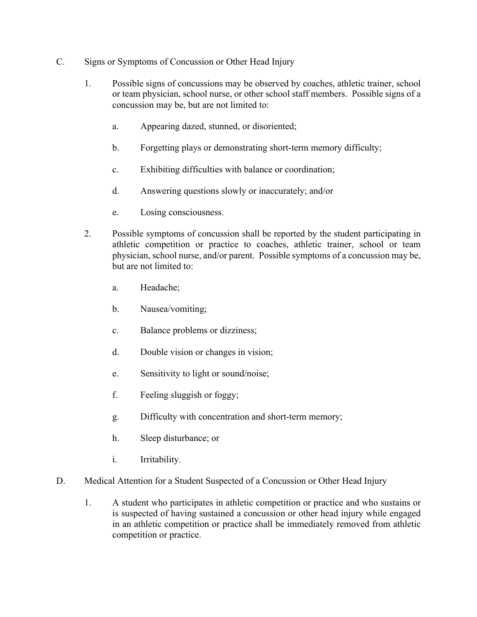- C. Signs or Symptoms of Concussion or Other Head Injury
	- 1. Possible signs of concussions may be observed by coaches, athletic trainer, school or team physician, school nurse, or other school staff members. Possible signs of a concussion may be, but are not limited to:
		- a. Appearing dazed, stunned, or disoriented;
		- b. Forgetting plays or demonstrating short-term memory difficulty;
		- c. Exhibiting difficulties with balance or coordination;
		- d. Answering questions slowly or inaccurately; and/or
		- e. Losing consciousness.
	- 2. Possible symptoms of concussion shall be reported by the student participating in athletic competition or practice to coaches, athletic trainer, school or team physician, school nurse, and/or parent. Possible symptoms of a concussion may be, but are not limited to:
		- a. Headache;
		- b. Nausea/vomiting;
		- c. Balance problems or dizziness;
		- d. Double vision or changes in vision;
		- e. Sensitivity to light or sound/noise;
		- f. Feeling sluggish or foggy;
		- g. Difficulty with concentration and short-term memory;
		- h. Sleep disturbance; or
		- i. Irritability.
- D. Medical Attention for a Student Suspected of a Concussion or Other Head Injury
	- 1. A student who participates in athletic competition or practice and who sustains or is suspected of having sustained a concussion or other head injury while engaged in an athletic competition or practice shall be immediately removed from athletic competition or practice.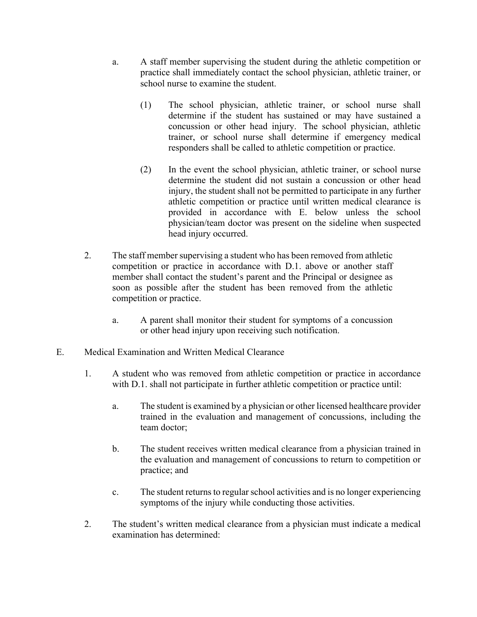- a. A staff member supervising the student during the athletic competition or practice shall immediately contact the school physician, athletic trainer, or school nurse to examine the student.
	- (1) The school physician, athletic trainer, or school nurse shall determine if the student has sustained or may have sustained a concussion or other head injury. The school physician, athletic trainer, or school nurse shall determine if emergency medical responders shall be called to athletic competition or practice.
	- (2) In the event the school physician, athletic trainer, or school nurse determine the student did not sustain a concussion or other head injury, the student shall not be permitted to participate in any further athletic competition or practice until written medical clearance is provided in accordance with E. below unless the school physician/team doctor was present on the sideline when suspected head injury occurred.
- 2. The staff member supervising a student who has been removed from athletic competition or practice in accordance with D.1. above or another staff member shall contact the student's parent and the Principal or designee as soon as possible after the student has been removed from the athletic competition or practice.
	- a. A parent shall monitor their student for symptoms of a concussion or other head injury upon receiving such notification.
- E. Medical Examination and Written Medical Clearance
	- 1. A student who was removed from athletic competition or practice in accordance with D.1. shall not participate in further athletic competition or practice until:
		- a. The student is examined by a physician or other licensed healthcare provider trained in the evaluation and management of concussions, including the team doctor;
		- b. The student receives written medical clearance from a physician trained in the evaluation and management of concussions to return to competition or practice; and
		- c. The student returns to regular school activities and is no longer experiencing symptoms of the injury while conducting those activities.
	- 2. The student's written medical clearance from a physician must indicate a medical examination has determined: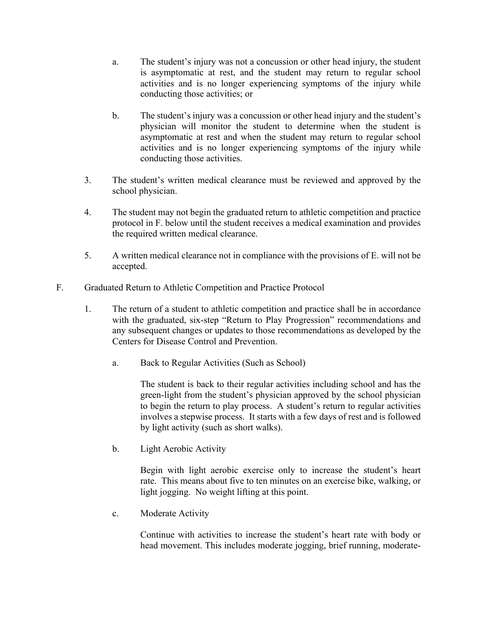- a. The student's injury was not a concussion or other head injury, the student is asymptomatic at rest, and the student may return to regular school activities and is no longer experiencing symptoms of the injury while conducting those activities; or
- b. The student's injury was a concussion or other head injury and the student's physician will monitor the student to determine when the student is asymptomatic at rest and when the student may return to regular school activities and is no longer experiencing symptoms of the injury while conducting those activities.
- 3. The student's written medical clearance must be reviewed and approved by the school physician.
- 4. The student may not begin the graduated return to athletic competition and practice protocol in F. below until the student receives a medical examination and provides the required written medical clearance.
- 5. A written medical clearance not in compliance with the provisions of E. will not be accepted.
- F. Graduated Return to Athletic Competition and Practice Protocol
	- 1. The return of a student to athletic competition and practice shall be in accordance with the graduated, six-step "Return to Play Progression" recommendations and any subsequent changes or updates to those recommendations as developed by the Centers for Disease Control and Prevention.
		- a. Back to Regular Activities (Such as School)

The student is back to their regular activities including school and has the green-light from the student's physician approved by the school physician to begin the return to play process. A student's return to regular activities involves a stepwise process. It starts with a few days of rest and is followed by light activity (such as short walks).

b. Light Aerobic Activity

Begin with light aerobic exercise only to increase the student's heart rate. This means about five to ten minutes on an exercise bike, walking, or light jogging. No weight lifting at this point.

c. Moderate Activity

Continue with activities to increase the student's heart rate with body or head movement. This includes moderate jogging, brief running, moderate-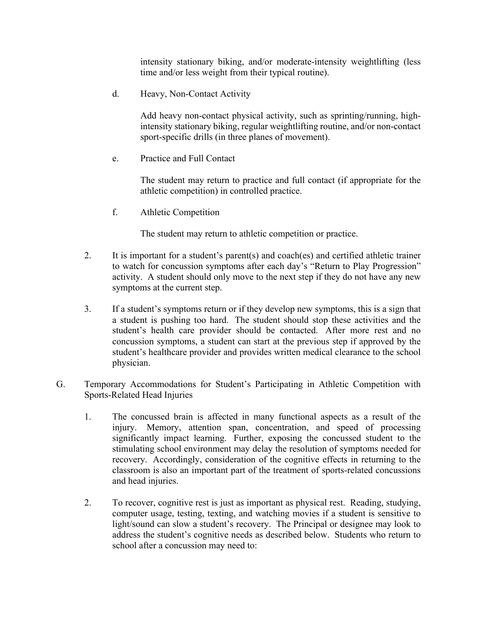intensity stationary biking, and/or moderate-intensity weightlifting (less time and/or less weight from their typical routine).

d. Heavy, Non-Contact Activity

Add heavy non-contact physical activity, such as sprinting/running, highintensity stationary biking, regular weightlifting routine, and/or non-contact sport-specific drills (in three planes of movement).

e. Practice and Full Contact

The student may return to practice and full contact (if appropriate for the athletic competition) in controlled practice.

f. Athletic Competition

The student may return to athletic competition or practice.

- 2. It is important for a student's parent(s) and coach(es) and certified athletic trainer to watch for concussion symptoms after each day's "Return to Play Progression" activity. A student should only move to the next step if they do not have any new symptoms at the current step.
- 3. If a student's symptoms return or if they develop new symptoms, this is a sign that a student is pushing too hard. The student should stop these activities and the student's health care provider should be contacted. After more rest and no concussion symptoms, a student can start at the previous step if approved by the student's healthcare provider and provides written medical clearance to the school physician.
- G. Temporary Accommodations for Student's Participating in Athletic Competition with Sports-Related Head Injuries
	- 1. The concussed brain is affected in many functional aspects as a result of the injury. Memory, attention span, concentration, and speed of processing significantly impact learning. Further, exposing the concussed student to the stimulating school environment may delay the resolution of symptoms needed for recovery. Accordingly, consideration of the cognitive effects in returning to the classroom is also an important part of the treatment of sports-related concussions and head injuries.
	- 2. To recover, cognitive rest is just as important as physical rest. Reading, studying, computer usage, testing, texting, and watching movies if a student is sensitive to light/sound can slow a student's recovery. The Principal or designee may look to address the student's cognitive needs as described below. Students who return to school after a concussion may need to: